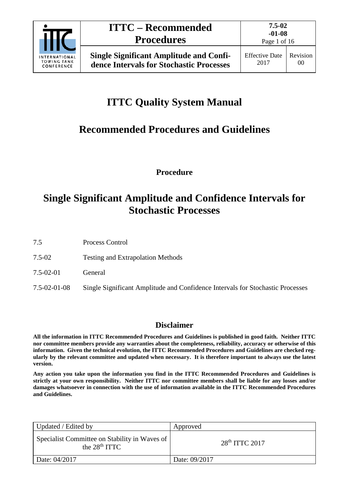

Page 1 of 16

**Single Significant Amplitude and Confidence Intervals for Stochastic Processes**

# **ITTC Quality System Manual**

# **Recommended Procedures and Guidelines**

**Procedure**

# **Single Significant Amplitude and Confidence Intervals for Stochastic Processes**

7.5 Process Control

- 7.5-02 Testing and Extrapolation Methods
- 7.5-02-01 General
- 7.5-02-01-08 Single Significant Amplitude and Confidence Intervals for Stochastic Processes

# **Disclaimer**

**All the information in ITTC Recommended Procedures and Guidelines is published in good faith. Neither ITTC nor committee members provide any warranties about the completeness, reliability, accuracy or otherwise of this information. Given the technical evolution, the ITTC Recommended Procedures and Guidelines are checked regularly by the relevant committee and updated when necessary. It is therefore important to always use the latest version.**

**Any action you take upon the information you find in the ITTC Recommended Procedures and Guidelines is strictly at your own responsibility. Neither ITTC nor committee members shall be liable for any losses and/or damages whatsoever in connection with the use of information available in the ITTC Recommended Procedures and Guidelines.**

| Updated / Edited by                                              | Approved         |
|------------------------------------------------------------------|------------------|
| Specialist Committee on Stability in Waves of<br>the $28th ITTC$ | $28th$ ITTC 2017 |
| Date: 04/2017                                                    | Date: 09/2017    |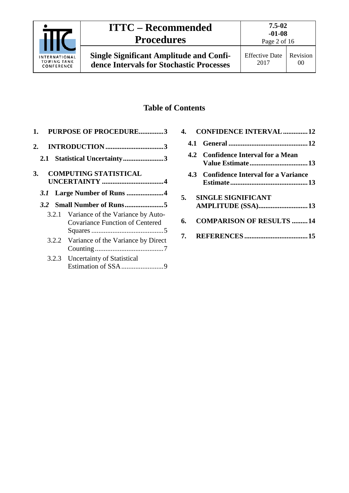

# **ITTC – Recommended Procedures**

# **Table of Contents**

| 1.        | <b>PURPOSE OF PROCEDURE3</b>                                                      |
|-----------|-----------------------------------------------------------------------------------|
| 2.        |                                                                                   |
|           | 2.1 Statistical Uncertainty3                                                      |
| <b>3.</b> | <b>COMPUTING STATISTICAL</b>                                                      |
|           |                                                                                   |
|           |                                                                                   |
|           |                                                                                   |
|           | 3.2.1 Variance of the Variance by Auto-<br><b>Covariance Function of Centered</b> |
|           | 3.2.2 Variance of the Variance by Direct                                          |

|      | 4. CONFIDENCE INTERVAL 12              |
|------|----------------------------------------|
|      |                                        |
|      | 4.2 Confidence Interval for a Mean     |
|      | 4.3 Confidence Interval for a Variance |
| 5.   | <b>SINGLE SIGNIFICANT</b>              |
|      | <b>AMPLITUDE</b> (SSA)13               |
| 6. — | <b>COMPARISON OF RESULTS 14</b>        |
|      |                                        |
|      |                                        |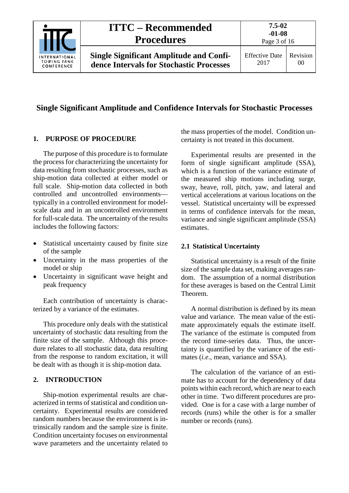

# **Single Significant Amplitude and Confidence Intervals for Stochastic Processes**

## <span id="page-2-0"></span>**1. PURPOSE OF PROCEDURE**

The purpose of this procedure is to formulate the process for characterizing the uncertainty for data resulting from stochastic processes, such as ship-motion data collected at either model or full scale. Ship-motion data collected in both controlled and uncontrolled environments typically in a controlled environment for modelscale data and in an uncontrolled environment for full-scale data. The uncertainty of the results includes the following factors:

- Statistical uncertainty caused by finite size of the sample
- Uncertainty in the mass properties of the model or ship
- Uncertainty in significant wave height and peak frequency

Each contribution of uncertainty is characterized by a variance of the estimates.

This procedure only deals with the statistical uncertainty of stochastic data resulting from the finite size of the sample. Although this procedure relates to all stochastic data, data resulting from the response to random excitation, it will be dealt with as though it is ship-motion data.

## <span id="page-2-1"></span>**2. INTRODUCTION**

Ship-motion experimental results are characterized in terms of statistical and condition uncertainty. Experimental results are considered random numbers because the environment is intrinsically random and the sample size is finite. Condition uncertainty focuses on environmental wave parameters and the uncertainty related to

the mass properties of the model. Condition uncertainty is not treated in this document.

Experimental results are presented in the form of single significant amplitude (SSA), which is a function of the variance estimate of the measured ship motions including surge, sway, heave, roll, pitch, yaw, and lateral and vertical accelerations at various locations on the vessel. Statistical uncertainty will be expressed in terms of confidence intervals for the mean, variance and single significant amplitude (SSA) estimates.

#### <span id="page-2-2"></span>**2.1 Statistical Uncertainty**

Statistical uncertainty is a result of the finite size of the sample data set, making averages random. The assumption of a normal distribution for these averages is based on the Central Limit Theorem.

A normal distribution is defined by its mean value and variance. The mean value of the estimate approximately equals the estimate itself. The variance of the estimate is computed from the record time-series data. Thus, the uncertainty is quantified by the variance of the estimates (*i.e*., mean, variance and SSA).

The calculation of the variance of an estimate has to account for the dependency of data points within each record, which are near to each other in time. Two different procedures are provided. One is for a case with a large number of records (runs) while the other is for a smaller number or records (runs).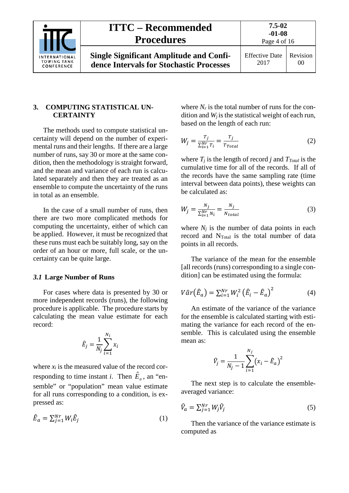|                                                          | <b>ITTC – Recommended</b><br><b>Procedures</b>                                             | 7.5-02<br>$-01-08$<br>Page 4 of 16 |                            |
|----------------------------------------------------------|--------------------------------------------------------------------------------------------|------------------------------------|----------------------------|
| <b>INTERNATIONAL</b><br><b>TOWING TANK</b><br>CONFERENCE | <b>Single Significant Amplitude and Confi-</b><br>dence Intervals for Stochastic Processes | <b>Effective Date</b><br>2017      | Revision<br>0 <sup>0</sup> |

# <span id="page-3-0"></span>**3. COMPUTING STATISTICAL UN-CERTAINTY**

The methods used to compute statistical uncertainty will depend on the number of experimental runs and their lengths. If there are a large number of runs, say 30 or more at the same condition, then the methodology is straight forward, and the mean and variance of each run is calculated separately and then they are treated as an ensemble to compute the uncertainty of the runs in total as an ensemble.

In the case of a small number of runs, then there are two more complicated methods for computing the uncertainty, either of which can be applied. However, it must be recognized that these runs must each be suitably long, say on the order of an hour or more, full scale, or the uncertainty can be quite large.

#### <span id="page-3-1"></span>*3.1* **Large Number of Runs**

For cases where data is presented by 30 or more independent records (runs), the following procedure is applicable. The procedure starts by calculating the mean value estimate for each record:

$$
\hat{E}_j = \frac{1}{N_j} \sum_{i=1}^{N_i} x_i
$$

where  $x_i$  is the measured value of the record corresponding to time instant *i*. Then  $\hat{E}_a$ , an "ensemble" or "population" mean value estimate for all runs corresponding to a condition, is expressed as:

$$
\hat{E}_a = \sum_{j=1}^{Nr} W_i \hat{E}_j \tag{1}
$$

where  $N_r$  is the total number of runs for the condition and  $W_i$  is the statistical weight of each run, based on the length of each run:

$$
W_j = \frac{T_j}{\sum_{i=1}^{N_r} T_i} = \frac{T_j}{T_{Total}} \tag{2}
$$

where  $T_j$  is the length of record *j* and  $T_{Total}$  is the cumulative time for all of the records. If all of the records have the same sampling rate (time interval between data points), these weights can be calculated as:

$$
W_j = \frac{N_j}{\sum_{i=1}^{N_r} N_i} = \frac{N_j}{N_{total}}
$$
\n(3)

where  $N_i$  is the number of data points in each record and  $N<sub>Total</sub>$  is the total number of data points in all records.

The variance of the mean for the ensemble [all records (runs) corresponding to a single condition] can be estimated using the formula:

$$
V\hat{a}r(\hat{E}_a) = \sum_{i=1}^{Nr} W_i^2 (\hat{E}_i - \hat{E}_a)^2
$$
 (4)

An estimate of the variance of the variance for the ensemble is calculated starting with estimating the variance for each record of the ensemble. This is calculated using the ensemble mean as:

$$
\hat{V}_j = \frac{1}{N_j - 1} \sum_{i=1}^{N_j} (x_i - \hat{E}_a)^2
$$

The next step is to calculate the ensembleaveraged variance:

$$
\hat{V}_a = \sum_{j=1}^{Nr} W_j \hat{V}_j \tag{5}
$$

Then the variance of the variance estimate is computed as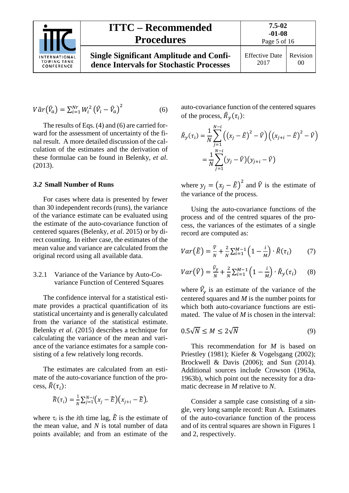

$$
V\hat{a}r(\hat{V}_a) = \sum_{i=1}^{Nr} W_i^2 (\hat{V}_i - \hat{V}_a)^2
$$
 (6)

The results of Eqs. (4) and (6) are carried forward for the assessment of uncertainty of the final result. A more detailed discussion of the calculation of the estimates and the derivation of these formulae can be found in Belenky, *et al*. (2013).

#### <span id="page-4-0"></span>*3.2* **Small Number of Runs**

For cases where data is presented by fewer than 30 independent records (runs), the variance of the variance estimate can be evaluated using the estimate of the auto-covariance function of centered squares (Belenky, *et al*. 2015) or by direct counting. In either case, the estimates of the mean value and variance are calculated from the original record using all available data.

## <span id="page-4-1"></span>3.2.1 Variance of the Variance by Auto-Covariance Function of Centered Squares

The confidence interval for a statistical estimate provides a practical quantification of its statistical uncertainty and is generally calculated from the variance of the statistical estimate. Belenky *et al*. (2015) describes a technique for calculating the variance of the mean and variance of the variance estimates for a sample consisting of a few relatively long records.

The estimates are calculated from an estimate of the auto-covariance function of the process,  $\hat{R}(\tau_i)$ :

$$
\widehat{R}(\tau_i) = \frac{1}{N} \sum_{j=1}^{N-i} (x_j - \widehat{E}) (x_{j+i} - \widehat{E}),
$$

where  $\tau_i$  is the *i*th time lag,  $\hat{E}$  is the estimate of the mean value, and *N* is total number of data points available; and from an estimate of the

auto-covariance function of the centered squares of the process,  $\hat{R}_{\nu}(\tau_i)$ :

$$
\hat{R}_{y}(\tau_{i}) = \frac{1}{N} \sum_{j=1}^{N-i} ((x_{j} - \hat{E})^{2} - \hat{V}) ((x_{j+i} - \hat{E})^{2} - \hat{V})
$$

$$
= \frac{1}{N} \sum_{j=1}^{N-i} (y_{j} - \hat{V}) (y_{j+i} - \hat{V})
$$

where  $y_j = (x_j - \hat{E})^2$  and  $\hat{V}$  is the estimate of the variance of the process.

Using the auto-covariance functions of the process and of the centred squares of the process, the variances of the estimates of a single record are computed as:

$$
Var(\hat{E}) = \frac{\hat{v}}{N} + \frac{2}{N} \sum_{i=1}^{M-1} \left(1 - \frac{i}{M}\right) \cdot \hat{R}(\tau_i)
$$
 (7)

$$
Var(\hat{V}) = \frac{\hat{V}_y}{N} + \frac{2}{N} \sum_{i=1}^{M-1} \left(1 - \frac{i}{M}\right) \cdot \hat{R}_y(\tau_i) \tag{8}
$$

where  $V_y$  is an estimate of the variance of the centered squares and *M* is the number points for which both auto-covariance functions are estimated. The value of *M* is chosen in the interval:

$$
0.5\sqrt{N} \le M \le 2\sqrt{N} \tag{9}
$$

This recommendation for *M* is based on Priestley (1981); Kiefer & Vogelsgang (2002); Brockwell & Davis (2006); and Sun (2014). Additional sources include Crowson (1963a, 1963b), which point out the necessity for a dramatic decrease in *M* relative to *N*.

Consider a sample case consisting of a single, very long sample record: Run A. Estimates of the auto-covariance function of the process and of its central squares are shown in Figures 1 and 2, respectively.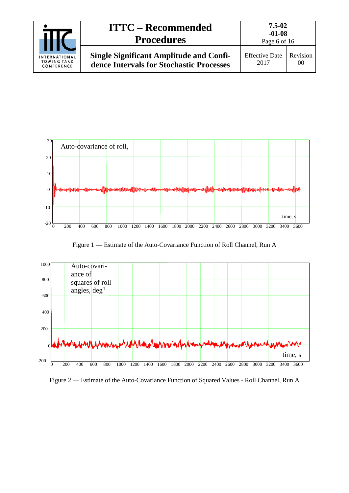| INTERNATIONAL<br><b>TOWING TANK</b><br>CONFERENCE | <b>ITTC – Recommended</b><br><b>Procedures</b>                                             | 7.5-02<br>$-01-08$<br>Page 6 of 16 |                |
|---------------------------------------------------|--------------------------------------------------------------------------------------------|------------------------------------|----------------|
|                                                   | <b>Single Significant Amplitude and Confi-</b><br>dence Intervals for Stochastic Processes | <b>Effective Date</b><br>2017      | Revision<br>00 |



Figure 1 — Estimate of the Auto-Covariance Function of Roll Channel, Run A



Figure 2 — Estimate of the Auto-Covariance Function of Squared Values - Roll Channel, Run A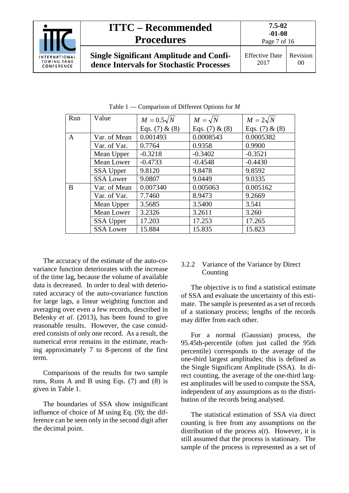

| Run | Value            | $M = 0.5\sqrt{N}$  | $M = \sqrt{N}$     | $M = 2\sqrt{N}$    |
|-----|------------------|--------------------|--------------------|--------------------|
|     |                  | Eqs. $(7)$ & $(8)$ | Eqs. $(7)$ & $(8)$ | Eqs. $(7)$ & $(8)$ |
| A   | Var. of Mean     | 0.001493           | 0.0008543          | 0.0005382          |
|     | Var. of Var.     | 0.7764             | 0.9358             | 0.9900             |
|     | Mean Upper       | $-0.3218$          | $-0.3402$          | $-0.3521$          |
|     | Mean Lower       | $-0.4733$          | $-0.4548$          | $-0.4430$          |
|     | SSA Upper        | 9.8120             | 9.8478             | 9.8592             |
|     | <b>SSA Lower</b> | 9.0807             | 9.0449             | 9.0335             |
| B   | Var. of Mean     | 0.007340           | 0.005063           | 0.005162           |
|     | Var. of Var.     | 7.7460             | 8.9473             | 9.2669             |
|     | Mean Upper       | 3.5685             | 3.5400             | 3.541              |
|     | Mean Lower       | 3.2326             | 3.2611             | 3.260              |
|     | SSA Upper        | 17.203             | 17.253             | 17.265             |
|     | <b>SSA Lower</b> | 15.884             | 15.835             | 15.823             |

Table 1 — Comparison of Different Options for *M*

The accuracy of the estimate of the auto-covariance function deteriorates with the increase of the time lag, because the volume of available data is decreased. In order to deal with deteriorated accuracy of the auto-covariance function for large lags, a linear weighting function and averaging over even a few records, described in Belenky *et al*. (2013), has been found to give reasonable results. However, the case considered consists of only one record. As a result, the numerical error remains in the estimate, reaching approximately 7 to 8-percent of the first term.

Comparisons of the results for two sample runs, Runs A and B using Eqs. (7) and (8) is given in Table 1.

The boundaries of SSA show insignificant influence of choice of *M* using Eq. (9); the difference can be seen only in the second digit after the decimal point.

# <span id="page-6-0"></span>3.2.2 Variance of the Variance by Direct **Counting**

The objective is to find a statistical estimate of SSA and evaluate the uncertainty of this estimate. The sample is presented as a set of records of a stationary process; lengths of the records may differ from each other.

For a normal (Gaussian) process, the 95.45th-percentile (often just called the 95th percentile) corresponds to the average of the one-third largest amplitudes; this is defined as the Single Significant Amplitude (SSA). In direct counting, the average of the one-third largest amplitudes will be used to compute the SSA, independent of any assumptions as to the distribution of the records being analysed.

The statistical estimation of SSA via direct counting is free from any assumptions on the distribution of the process  $x(t)$ . However, it is still assumed that the process is stationary. The sample of the process is represented as a set of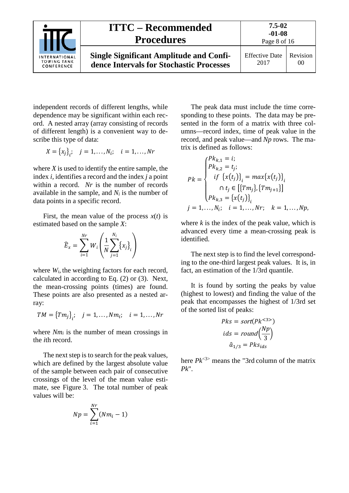

independent records of different lengths, while dependence may be significant within each record. A nested array (array consisting of records of different length) is a convenient way to describe this type of data:

$$
X = \{x_j\}_i; \quad j = 1, ..., N_i; \quad i = 1, ..., Nr
$$

where  $X$  is used to identify the entire sample, the index *i,* identifies a record and the index *j* a point within a record. *Nr* is the number of records available in the sample, and  $N_i$  is the number of data points in a specific record.

First, the mean value of the process  $x(t)$  is estimated based on the sample *X*:

$$
\widehat{E}_x = \sum_{i=1}^{Nr} W_i \left( \frac{1}{N} \sum_{j=1}^{N_i} \{x_j\}_i \right)
$$

where  $W_i$ , the weighting factors for each record, calculated in according to Eq. (2) or (3). Next, the mean-crossing points (times) are found. These points are also presented as a nested array:

$$
TM = \{Tm_j\}_i; \quad j = 1,..., Nm_i; \quad i = 1,..., Nr
$$

where *Nmi* is the number of mean crossings in the *i*th record.

The next step is to search for the peak values, which are defined by the largest absolute value of the sample between each pair of consecutive crossings of the level of the mean value estimate, see Figure 3. The total number of peak values will be:

$$
Np = \sum_{i=1}^{Nr} (Nm_i - 1)
$$

The peak data must include the time corresponding to these points. The data may be presented in the form of a matrix with three columns—record index, time of peak value in the record, and peak value—and *Np* rows. The matrix is defined as follows:

$$
P_k = \begin{cases} P k_{k,1} = i; \\ P k_{k,2} = t_j; \\ if \{x(t_j)\}_i = max\{x(t_j)\}_i \\ \cap t_j \in [\{Tm_j\}, \{Tm_{j+1}\}] \\ P k_{k,3} = \{x(t_j)\}_i \\ j = 1, ..., N_i; \quad i = 1, ..., Nr; \quad k = 1, ..., Np, \end{cases}
$$

where  $k$  is the index of the peak value, which is advanced every time a mean-crossing peak is identified.

The next step is to find the level corresponding to the one-third largest peak values. It is, in fact, an estimation of the 1/3rd quantile.

It is found by sorting the peaks by value (highest to lowest) and finding the value of the peak that encompasses the highest of 1/3rd set of the sorted list of peaks:

$$
Pks = sort(Pk^{<3>})
$$
  

$$
ids = round\left(\frac{Np}{3}\right)
$$
  

$$
\hat{a}_{1/3} = Pks_{ids}
$$

here *Pk*<3> means the "3rd column of the matrix *Pk*".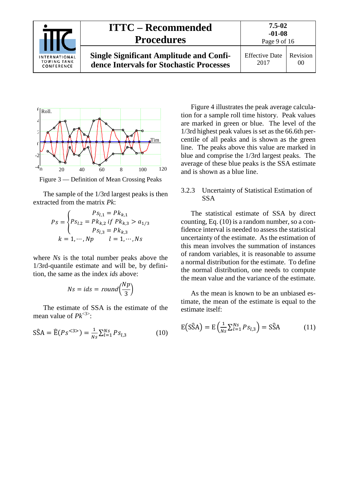|                                                          | <b>ITTC – Recommended</b><br><b>Procedures</b>                                             | 7.5-02<br>$-01-08$<br>Page 9 of 16 |                            |
|----------------------------------------------------------|--------------------------------------------------------------------------------------------|------------------------------------|----------------------------|
| <b>INTERNATIONAL</b><br><b>TOWING TANK</b><br>CONFERENCE | <b>Single Significant Amplitude and Confi-</b><br>dence Intervals for Stochastic Processes | <b>Effective Date</b><br>2017      | Revision<br>0 <sup>0</sup> |



Figure 3 — Definition of Mean Crossing Peaks

The sample of the 1/3rd largest peaks is then extracted from the matrix *Pk*:

$$
Ps = \begin{cases} PS_{l,1} = Pk_{k,1} \\ PS_{l,2} = Pk_{k,2} \text{ if } Pk_{k,3} > a_{1/3} \\ PS_{l,3} = Pk_{k,3} \\ k = 1, \cdots, Np \quad l = 1, \cdots, Ns \end{cases}
$$

where *Ns* is the total number peaks above the 1/3rd-quantile estimate and will be, by definition, the same as the index *ids* above:

$$
Ns = i ds = round\left(\frac{Np}{3}\right)
$$

The estimate of SSA is the estimate of the mean value of  $Pk<sup><3></sup>$ :

$$
\hat{\text{SSA}} = \hat{\text{E}}(Ps^{<3>}) = \frac{1}{N_S} \sum_{l=1}^{N_S} P_{l,3} \tag{10}
$$

Figure 4 illustrates the peak average calculation for a sample roll time history. Peak values are marked in green or blue. The level of the 1/3rd highest peak values is set as the 66.6th percentile of all peaks and is shown as the green line. The peaks above this value are marked in blue and comprise the 1/3rd largest peaks. The average of these blue peaks is the SSA estimate and is shown as a blue line.

## <span id="page-8-0"></span>3.2.3 Uncertainty of Statistical Estimation of **SSA**

The statistical estimate of SSA by direct counting, Eq. (10) is a random number, so a confidence interval is needed to assess the statistical uncertainty of the estimate. As the estimation of this mean involves the summation of instances of random variables, it is reasonable to assume a normal distribution for the estimate. To define the normal distribution, one needs to compute the mean value and the variance of the estimate.

As the mean is known to be an unbiased estimate, the mean of the estimate is equal to the estimate itself:

$$
E(S\widehat{S}A) = E\left(\frac{1}{Ns}\sum_{l=1}^{Ns} Ps_{l,3}\right) = S\widehat{S}A
$$
 (11)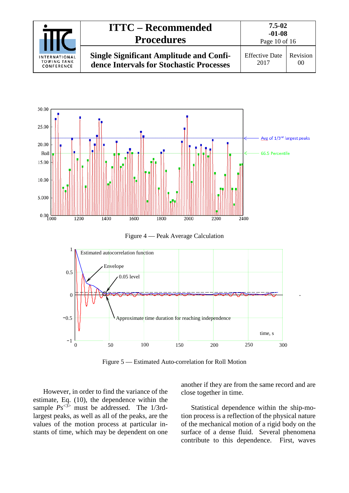|                                                   | <b>ITTC – Recommended</b><br><b>Procedures</b>                                             | 7.5-02<br>$-01-08$<br>Page 10 of 16 |                |
|---------------------------------------------------|--------------------------------------------------------------------------------------------|-------------------------------------|----------------|
| INTERNATIONAL<br><b>TOWING TANK</b><br>CONFERENCE | <b>Single Significant Amplitude and Confi-</b><br>dence Intervals for Stochastic Processes | <b>Effective Date</b><br>2017       | Revision<br>00 |



Figure 4 — Peak Average Calculation



Figure 5 — Estimated Auto-correlation for Roll Motion

However, in order to find the variance of the estimate, Eq. (10), the dependence within the sample  $Ps^{3}$  must be addressed. The 1/3rdlargest peaks, as well as all of the peaks, are the values of the motion process at particular instants of time, which may be dependent on one

another if they are from the same record and are close together in time.

.

Statistical dependence within the ship-motion process is a reflection of the physical nature of the mechanical motion of a rigid body on the surface of a dense fluid. Several phenomena contribute to this dependence. First, waves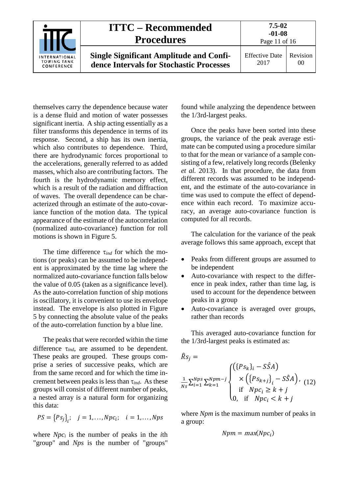|                                                          | <b>ITTC – Recommended</b><br><b>Procedures</b>                                             | $7.5 - 02$<br>$-01-08$<br>Page 11 of 16 |                            |
|----------------------------------------------------------|--------------------------------------------------------------------------------------------|-----------------------------------------|----------------------------|
| <b>INTERNATIONAL</b><br><b>TOWING TANK</b><br>CONFERENCE | <b>Single Significant Amplitude and Confi-</b><br>dence Intervals for Stochastic Processes | <b>Effective Date</b><br>2017           | Revision<br>0 <sup>0</sup> |

themselves carry the dependence because water is a dense fluid and motion of water possesses significant inertia. A ship acting essentially as a filter transforms this dependence in terms of its response. Second, a ship has its own inertia, which also contributes to dependence. Third, there are hydrodynamic forces proportional to the accelerations, generally referred to as added masses, which also are contributing factors. The fourth is the hydrodynamic memory effect, which is a result of the radiation and diffraction of waves. The overall dependence can be characterized through an estimate of the auto-covariance function of the motion data. The typical appearance of the estimate of the autocorrelation (normalized auto-covariance) function for roll motions is shown in Figure 5.

The time difference τ*ind* for which the motions (or peaks) can be assumed to be independent is approximated by the time lag where the normalized auto-covariance function falls below the value of 0.05 (taken as a significance level). As the auto-correlation function of ship motions is oscillatory, it is convenient to use its envelope instead. The envelope is also plotted in Figure 5 by connecting the absolute value of the peaks of the auto-correlation function by a blue line.

The peaks that were recorded within the time difference τ*ind*, are assumed to be dependent. These peaks are grouped. These groups comprise a series of successive peaks, which are from the same record and for which the time increment between peaks is less than τ*ind*. As these groups will consist of different number of peaks, a nested array is a natural form for organizing this data:

$$
PS = \{Ps_j\}_{i}; \quad j = 1, ..., Npc_i; \quad i = 1, ..., Nps
$$

where *Npci* is the number of peaks in the *i*th "group" and *Nps* is the number of "groups"

found while analyzing the dependence between the 1/3rd-largest peaks.

Once the peaks have been sorted into these groups, the variance of the peak average estimate can be computed using a procedure similar to that for the mean or variance of a sample consisting of a few, relatively long records (Belenky *et al.* 2013). In that procedure, the data from different records was assumed to be independent, and the estimate of the auto-covariance in time was used to compute the effect of dependence within each record. To maximize accuracy, an average auto-covariance function is computed for all records.

The calculation for the variance of the peak average follows this same approach, except that

- Peaks from different groups are assumed to be independent
- Auto-covariance with respect to the difference in peak index, rather than time lag, is used to account for the dependence between peaks in a group
- Auto-covariance is averaged over groups, rather than records

This averaged auto-covariance function for the 1/3rd-largest peaks is estimated as:

$$
\hat{R}s_{j} = \frac{1}{N_{s} \sum_{i=1}^{N_{ps}} \sum_{k=1}^{N_{pm}-j} \begin{cases} (\{Ps_{k}\}_{i} - S\hat{S}A) \\ \times (\{Ps_{k+j}\}_{i} - S\hat{S}A) \\ \text{if } Npc_{i} \ge k+j \\ 0, \text{if } Npc_{i} < k+j \end{cases} (12)
$$

where *Npm* is the maximum number of peaks in a group:

$$
Npm = max(Npc_i)
$$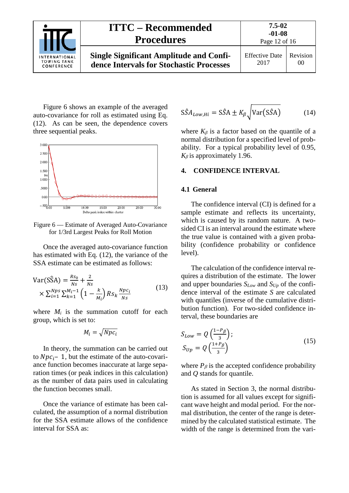|                                                          | <b>ITTC – Recommended</b><br><b>Procedures</b>                                             | 7.5-02<br>$-01-08$<br>Page 12 of 16 |                |
|----------------------------------------------------------|--------------------------------------------------------------------------------------------|-------------------------------------|----------------|
| <b>INTERNATIONAL</b><br><b>TOWING TANK</b><br>CONFERENCE | <b>Single Significant Amplitude and Confi-</b><br>dence Intervals for Stochastic Processes | <b>Effective Date</b><br>2017       | Revision<br>00 |

Figure 6 shows an example of the averaged auto-covariance for roll as estimated using Eq. (12). As can be seen, the dependence covers three sequential peaks.



Figure 6 — Estimate of Averaged Auto-Covariance for 1/3rd Largest Peaks for Roll Motion

Once the averaged auto-covariance function has estimated with Eq. (12), the variance of the SSA estimate can be estimated as follows:

$$
Var(S\hat{S}A) = \frac{Rs_0}{Ns} + \frac{2}{Ns} \times \sum_{i=1}^{Nps} \sum_{k=1}^{M_i - 1} \left(1 - \frac{k}{M_i}\right) Rs_k \frac{Npc_i}{Ns}
$$
(13)

where  $M_i$  is the summation cutoff for each group, which is set to:

$$
M_i = \sqrt{Npc_i}
$$

In theory, the summation can be carried out to  $Npc_i$  – 1, but the estimate of the auto-covariance function becomes inaccurate at large separation times (or peak indices in this calculation) as the number of data pairs used in calculating the function becomes small.

Once the variance of estimate has been calculated, the assumption of a normal distribution for the SSA estimate allows of the confidence interval for SSA as:

$$
S\hat{S}A_{Low,Hi} = S\hat{S}A \pm K_{\beta} \sqrt{\text{Var}(S\hat{S}A)} \tag{14}
$$

where  $K_\beta$  is a factor based on the quantile of a normal distribution for a specified level of probability. For a typical probability level of 0.95,  $K_\beta$  *K*<sup>*B*</sup> is approximately 1.96.

### <span id="page-11-1"></span><span id="page-11-0"></span>**4. CONFIDENCE INTERVAL**

#### **4.1 General**

The confidence interval (CI) is defined for a sample estimate and reflects its uncertainty, which is caused by its random nature. A twosided CI is an interval around the estimate where the true value is contained with a given probability (confidence probability or confidence level).

The calculation of the confidence interval requires a distribution of the estimate. The lower and upper boundaries *SLow* and *SUp* of the confidence interval of the estimate *S* are calculated with quantiles (inverse of the cumulative distribution function). For two-sided confidence interval, these boundaries are

$$
S_{Low} = Q\left(\frac{1 - P_{\beta}}{3}\right);
$$
  
\n
$$
S_{Up} = Q\left(\frac{1 + P_{\beta}}{3}\right)
$$
\n(15)

where  $P_\beta$  is the accepted confidence probability and *Q* stands for quantile.

As stated in Section 3, the normal distribution is assumed for all values except for significant wave height and modal period. For the normal distribution, the center of the range is determined by the calculated statistical estimate. The width of the range is determined from the vari-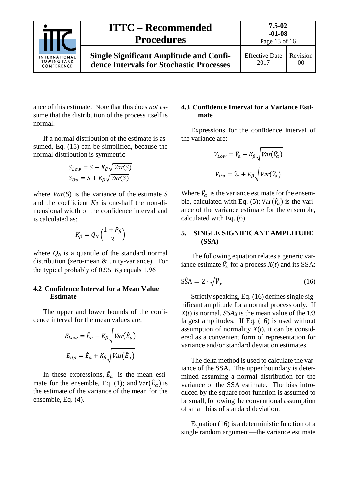

ance of this estimate. Note that this does *not* assume that the distribution of the process itself is normal.

If a normal distribution of the estimate is assumed, Eq. (15) can be simplified, because the normal distribution is symmetric

$$
S_{Low} = S - K_{\beta} \sqrt{Var(S)}
$$

$$
S_{Up} = S + K_{\beta} \sqrt{Var(S)}
$$

where *Var*(*S*) is the variance of the estimate *S* and the coefficient  $K_\beta$  is one-half the non-dimensional width of the confidence interval and is calculated as:

$$
K_{\beta} = Q_N \left(\frac{1+P_{\beta}}{2}\right)
$$

where  $Q_N$  is a quantile of the standard normal distribution (zero-mean & unity-variance). For the typical probably of 0.95,  $K_\beta$  equals 1.96

### <span id="page-12-0"></span>**4.2 Confidence Interval for a Mean Value Estimate**

The upper and lower bounds of the confidence interval for the mean values are:

$$
E_{Low} = \hat{E}_a - K_{\beta} \sqrt{Var(\hat{E}_a)}
$$

$$
E_{Up} = \hat{E}_a + K_{\beta} \sqrt{Var(\hat{E}_a)}
$$

In these expressions,  $\hat{E}_a$  is the mean estimate for the ensemble, Eq. (1); and  $Var(\hat{E}_a)$  is the estimate of the variance of the mean for the ensemble, Eq. (4).

# <span id="page-12-1"></span>**4.3 Confidence Interval for a Variance Estimate**

Expressions for the confidence interval of the variance are:

$$
V_{Low} = \hat{V}_a - K_{\beta} \sqrt{Var(\hat{V}_a)}
$$

$$
V_{Up} = \hat{V}_a + K_{\beta} \sqrt{Var(\hat{V}_a)}
$$

Where  $\hat{V}_a$  is the variance estimate for the ensemble, calculated with Eq. (5);  $Var(\hat{V}_a)$  is the variance of the variance estimate for the ensemble, calculated with Eq. (6).

#### <span id="page-12-2"></span>**5. SINGLE SIGNIFICANT AMPLITUDE (SSA)**

The following equation relates a generic variance estimate  $\hat{V}_x$  for a process  $X(t)$  and its SSA:

$$
\hat{\text{SSA}} = 2 \cdot \sqrt{\hat{V}_x} \tag{16}
$$

Strictly speaking, Eq. (16) defines single significant amplitude for a normal process only. If  $X(t)$  is normal, *SSA<sub>X</sub>* is the mean value of the 1/3 largest amplitudes. If Eq. (16) is used without assumption of normality  $X(t)$ , it can be considered as a convenient form of representation for variance and/or standard deviation estimates.

The delta method is used to calculate the variance of the SSA. The upper boundary is determined assuming a normal distribution for the variance of the SSA estimate. The bias introduced by the square root function is assumed to be small, following the conventional assumption of small bias of standard deviation.

Equation (16) is a deterministic function of a single random argument—the variance estimate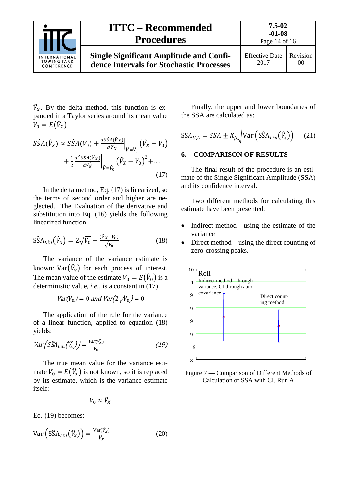

 $V_X$ . By the delta method, this function is expanded in a Taylor series around its mean value  $V_0 = E(\hat{V}_X)$ 

$$
S\hat{S}A(\hat{V}_X) \approx S\hat{S}A(V_0) + \frac{dS\hat{S}A(\hat{V}_X)}{d\hat{V}_X}\Big|_{\hat{V} = \hat{V}_0} (\hat{V}_X - V_0) + \frac{1}{2} \frac{d^2S\hat{S}A(\hat{V}_X)}{d\hat{V}_X^2}\Big|_{\hat{V} = \hat{V}_0} (\hat{V}_X - V_0)^2 + \dots
$$
\n(17)

In the delta method, Eq. (17) is linearized, so the terms of second order and higher are neglected. The Evaluation of the derivative and substitution into Eq. (16) yields the following linearized function:

$$
\text{SSA}_{Lin}(\hat{V}_X) = 2\sqrt{V_0} + \frac{(\hat{V}_X - V_0)}{\sqrt{V_0}}
$$
(18)

The variance of the variance estimate is known:  $Var(\hat{V}_x)$  for each process of interest. The mean value of the estimate  $V_0 = E(\hat{V}_0)$  is a deterministic value, *i.e.*, is a constant in (17).

$$
Var(V_0) = 0 \text{ and } Var(2\sqrt{V_0}) = 0
$$

The application of the rule for the variance of a linear function, applied to equation (18) yields:

$$
Var\left(\hat{S}\hat{S}A_{Lin}(\hat{V}_x)\right) = \frac{Var(\hat{V}_x)}{V_0}
$$
\n(19)

The true mean value for the variance estimate  $V_0 = E(\hat{V}_x)$  is not known, so it is replaced by its estimate, which is the variance estimate itself:

$$
V_0 \approx \hat{V}_X
$$

Eq. (19) becomes:

$$
Var(S\hat{S}A_{Lin}(\hat{V}_x)) = \frac{Var(\hat{V}_x)}{\hat{V}_x}
$$
 (20)

Finally, the upper and lower boundaries of the SSA are calculated as:

$$
SSA_{U,L} = SSA \pm K_{\beta} \sqrt{\text{Var}\left(\hat{SSA}_{Lin}(\hat{V}_x)\right)} \quad (21)
$$

#### <span id="page-13-0"></span>**6. COMPARISON OF RESULTS**

The final result of the procedure is an estimate of the Single Significant Amplitude (SSA) and its confidence interval.

Two different methods for calculating this estimate have been presented:

- Indirect method—using the estimate of the variance
- Direct method—using the direct counting of zero-crossing peaks.



Figure 7 — Comparison of Different Methods of Calculation of SSA with CI, Run A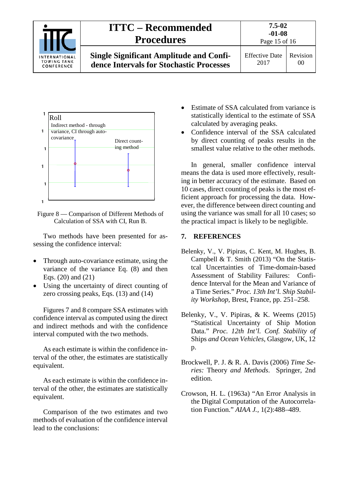|                                                          | <b>ITTC – Recommended</b><br><b>Procedures</b>                                             | $7.5 - 02$<br>$-01-08$<br>Page 15 of 16 |                            |
|----------------------------------------------------------|--------------------------------------------------------------------------------------------|-----------------------------------------|----------------------------|
| <b>INTERNATIONAL</b><br><b>TOWING TANK</b><br>CONFERENCE | <b>Single Significant Amplitude and Confi-</b><br>dence Intervals for Stochastic Processes | <b>Effective Date</b><br>2017           | Revision<br>0 <sup>0</sup> |



Figure 8 — Comparison of Different Methods of Calculation of SSA with CI, Run B.

Two methods have been presented for assessing the confidence interval:

- Through auto-covariance estimate, using the variance of the variance Eq. (8) and then Eqs. (20) and (21)
- Using the uncertainty of direct counting of zero crossing peaks, Eqs. (13) and (14)

Figures 7 and 8 compare SSA estimates with confidence interval as computed using the direct and indirect methods and with the confidence interval computed with the two methods.

As each estimate is within the confidence interval of the other, the estimates are statistically equivalent.

As each estimate is within the confidence interval of the other, the estimates are statistically equivalent.

Comparison of the two estimates and two methods of evaluation of the confidence interval lead to the conclusions:

- Estimate of SSA calculated from variance is statistically identical to the estimate of SSA calculated by averaging peaks.
- Confidence interval of the SSA calculated by direct counting of peaks results in the smallest value relative to the other methods.

In general, smaller confidence interval means the data is used more effectively, resulting in better accuracy of the estimate. Based on 10 cases, direct counting of peaks is the most efficient approach for processing the data. However, the difference between direct counting and using the variance was small for all 10 cases; so the practical impact is likely to be negligible.

# <span id="page-14-0"></span>**7. REFERENCES**

- Belenky, V., V. Pipiras, C. Kent, M. Hughes, B. Campbell & T. Smith (2013) "On the Statistcal Uncertainties of Time-domain-based Assessment of Stability Failures: Confidence Interval for the Mean and Variance of a Time Series." *Proc. 13th Int'l. Ship Stability Workshop,* Brest, France, pp. 251–258.
- Belenky, V., V. Pipiras, & K. Weems (2015) "Statistical Uncertainty of Ship Motion Data." *Proc. 12th Int'l. Conf. Stability of*  Ships *and Ocean Vehicles*, Glasgow, UK, 12 p.
- Brockwell, P. J. & R. A. Davis (2006) *Time Series:* Theory *and Methods*. Springer, 2nd edition.
- Crowson, H. L. (1963a) "An Error Analysis in the Digital Computation of the Autocorrelation Function." *AIAA J.,* 1(2):488–489.